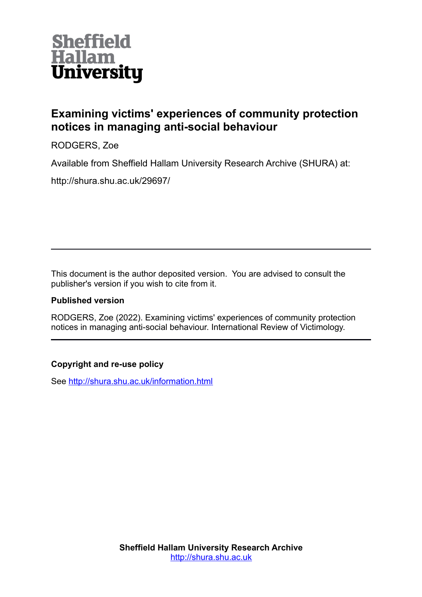

# **Examining victims' experiences of community protection notices in managing anti-social behaviour**

RODGERS, Zoe

Available from Sheffield Hallam University Research Archive (SHURA) at:

http://shura.shu.ac.uk/29697/

This document is the author deposited version. You are advised to consult the publisher's version if you wish to cite from it.

# **Published version**

RODGERS, Zoe (2022). Examining victims' experiences of community protection notices in managing anti-social behaviour. International Review of Victimology.

# **Copyright and re-use policy**

See<http://shura.shu.ac.uk/information.html>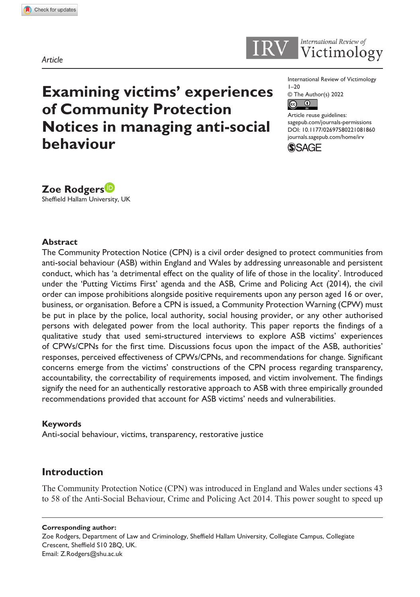



International Review of Victimology  $1 - 20$ 



DOI: 10.1177/02697580221081860 Article reuse guidelines: [sagepub.com/journals-permissions](https://uk.sagepub.com/en-gb/journals-permissions) [journals.sagepub.com/home/irv](https://journals.sagepub.com/home/irv)



**Zoe Rodgers** Sheffield Hallam University, UK

**behaviour**

#### **Abstract**

The Community Protection Notice (CPN) is a civil order designed to protect communities from anti-social behaviour (ASB) within England and Wales by addressing unreasonable and persistent conduct, which has 'a detrimental effect on the quality of life of those in the locality'. Introduced under the 'Putting Victims First' agenda and the ASB, Crime and Policing Act (2014), the civil order can impose prohibitions alongside positive requirements upon any person aged 16 or over, business, or organisation. Before a CPN is issued, a Community Protection Warning (CPW) must be put in place by the police, local authority, social housing provider, or any other authorised persons with delegated power from the local authority. This paper reports the findings of a qualitative study that used semi-structured interviews to explore ASB victims' experiences of CPWs/CPNs for the first time. Discussions focus upon the impact of the ASB, authorities' responses, perceived effectiveness of CPWs/CPNs, and recommendations for change. Significant concerns emerge from the victims' constructions of the CPN process regarding transparency, accountability, the correctability of requirements imposed, and victim involvement. The findings signify the need for an authentically restorative approach to ASB with three empirically grounded recommendations provided that account for ASB victims' needs and vulnerabilities.

#### **Keywords**

Anti-social behaviour, victims, transparency, restorative justice

**Examining victims' experiences** 

**Notices in managing anti-social** 

**of Community Protection** 

### **Introduction**

The Community Protection Notice (CPN) was introduced in England and Wales under sections 43 to 58 of the Anti-Social Behaviour, Crime and Policing Act 2014. This power sought to speed up

**Corresponding author:**

Zoe Rodgers, Department of Law and Criminology, Sheffield Hallam University, Collegiate Campus, Collegiate Crescent, Sheffield S10 2BQ, UK. Email: [Z.Rodgers@shu.ac.uk](mailto:Z.Rodgers@shu.ac.uk)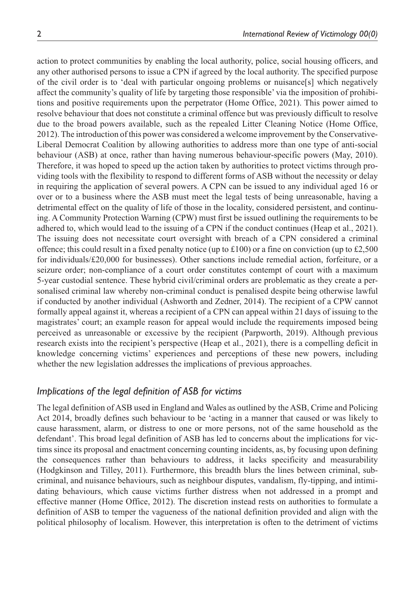action to protect communities by enabling the local authority, police, social housing officers, and any other authorised persons to issue a CPN if agreed by the local authority. The specified purpose of the civil order is to 'deal with particular ongoing problems or nuisance[s] which negatively affect the community's quality of life by targeting those responsible' via the imposition of prohibitions and positive requirements upon the perpetrator (Home Office, 2021). This power aimed to resolve behaviour that does not constitute a criminal offence but was previously difficult to resolve due to the broad powers available, such as the repealed Litter Cleaning Notice (Home Office, 2012). The introduction of this power was considered a welcome improvement by the Conservative-Liberal Democrat Coalition by allowing authorities to address more than one type of anti-social behaviour (ASB) at once, rather than having numerous behaviour-specific powers (May, 2010). Therefore, it was hoped to speed up the action taken by authorities to protect victims through providing tools with the flexibility to respond to different forms of ASB without the necessity or delay in requiring the application of several powers. A CPN can be issued to any individual aged 16 or over or to a business where the ASB must meet the legal tests of being unreasonable, having a detrimental effect on the quality of life of those in the locality, considered persistent, and continuing. A Community Protection Warning (CPW) must first be issued outlining the requirements to be adhered to, which would lead to the issuing of a CPN if the conduct continues (Heap et al., 2021). The issuing does not necessitate court oversight with breach of a CPN considered a criminal offence; this could result in a fixed penalty notice (up to £100) or a fine on conviction (up to £2,500 for individuals/ $\text{\pounds}20,000$  for businesses). Other sanctions include remedial action, forfeiture, or a seizure order; non-compliance of a court order constitutes contempt of court with a maximum 5-year custodial sentence. These hybrid civil/criminal orders are problematic as they create a personalised criminal law whereby non-criminal conduct is penalised despite being otherwise lawful if conducted by another individual (Ashworth and Zedner, 2014). The recipient of a CPW cannot formally appeal against it, whereas a recipient of a CPN can appeal within 21days of issuing to the magistrates' court; an example reason for appeal would include the requirements imposed being perceived as unreasonable or excessive by the recipient (Parpworth, 2019). Although previous research exists into the recipient's perspective (Heap et al., 2021), there is a compelling deficit in knowledge concerning victims' experiences and perceptions of these new powers, including whether the new legislation addresses the implications of previous approaches.

### *Implications of the legal definition of ASB for victims*

The legal definition of ASB used in England and Wales as outlined by the ASB, Crime and Policing Act 2014, broadly defines such behaviour to be 'acting in a manner that caused or was likely to cause harassment, alarm, or distress to one or more persons, not of the same household as the defendant'. This broad legal definition of ASB has led to concerns about the implications for victims since its proposal and enactment concerning counting incidents, as, by focusing upon defining the consequences rather than behaviours to address, it lacks specificity and measurability (Hodgkinson and Tilley, 2011). Furthermore, this breadth blurs the lines between criminal, subcriminal, and nuisance behaviours, such as neighbour disputes, vandalism, fly-tipping, and intimidating behaviours, which cause victims further distress when not addressed in a prompt and effective manner (Home Office, 2012). The discretion instead rests on authorities to formulate a definition of ASB to temper the vagueness of the national definition provided and align with the political philosophy of localism. However, this interpretation is often to the detriment of victims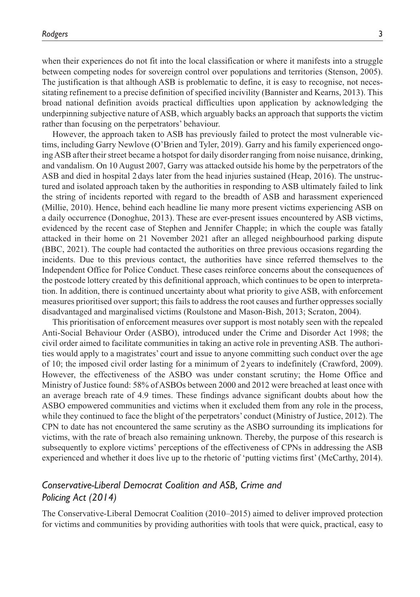when their experiences do not fit into the local classification or where it manifests into a struggle between competing nodes for sovereign control over populations and territories (Stenson, 2005). The justification is that although ASB is problematic to define, it is easy to recognise, not necessitating refinement to a precise definition of specified incivility (Bannister and Kearns, 2013). This broad national definition avoids practical difficulties upon application by acknowledging the underpinning subjective nature of ASB, which arguably backs an approach that supports the victim rather than focusing on the perpetrators' behaviour.

However, the approach taken to ASB has previously failed to protect the most vulnerable victims, including Garry Newlove (O'Brien and Tyler, 2019). Garry and his family experienced ongoing ASB after their street became a hotspot for daily disorder ranging from noise nuisance, drinking, and vandalism. On 10 August 2007, Garry was attacked outside his home by the perpetrators of the ASB and died in hospital 2 days later from the head injuries sustained (Heap, 2016). The unstructured and isolated approach taken by the authorities in responding to ASB ultimately failed to link the string of incidents reported with regard to the breadth of ASB and harassment experienced (Millie, 2010). Hence, behind each headline lie many more present victims experiencing ASB on a daily occurrence (Donoghue, 2013). These are ever-present issues encountered by ASB victims, evidenced by the recent case of Stephen and Jennifer Chapple; in which the couple was fatally attacked in their home on 21 November 2021 after an alleged neighbourhood parking dispute (BBC, 2021). The couple had contacted the authorities on three previous occasions regarding the incidents. Due to this previous contact, the authorities have since referred themselves to the Independent Office for Police Conduct. These cases reinforce concerns about the consequences of the postcode lottery created by this definitional approach, which continues to be open to interpretation. In addition, there is continued uncertainty about what priority to give ASB, with enforcement measures prioritised over support; this fails to address the root causes and further oppresses socially disadvantaged and marginalised victims (Roulstone and Mason-Bish, 2013; Scraton, 2004).

This prioritisation of enforcement measures over support is most notably seen with the repealed Anti-Social Behaviour Order (ASBO), introduced under the Crime and Disorder Act 1998; the civil order aimed to facilitate communities in taking an active role in preventing ASB. The authorities would apply to a magistrates' court and issue to anyone committing such conduct over the age of 10; the imposed civil order lasting for a minimum of 2 years to indefinitely (Crawford, 2009). However, the effectiveness of the ASBO was under constant scrutiny; the Home Office and Ministry of Justice found: 58% of ASBOs between 2000 and 2012 were breached at least once with an average breach rate of 4.9 times. These findings advance significant doubts about how the ASBO empowered communities and victims when it excluded them from any role in the process, while they continued to face the blight of the perpetrators' conduct (Ministry of Justice, 2012). The CPN to date has not encountered the same scrutiny as the ASBO surrounding its implications for victims, with the rate of breach also remaining unknown. Thereby, the purpose of this research is subsequently to explore victims' perceptions of the effectiveness of CPNs in addressing the ASB experienced and whether it does live up to the rhetoric of 'putting victims first' (McCarthy, 2014).

## *Conservative-Liberal Democrat Coalition and ASB, Crime and Policing Act (2014)*

The Conservative-Liberal Democrat Coalition (2010–2015) aimed to deliver improved protection for victims and communities by providing authorities with tools that were quick, practical, easy to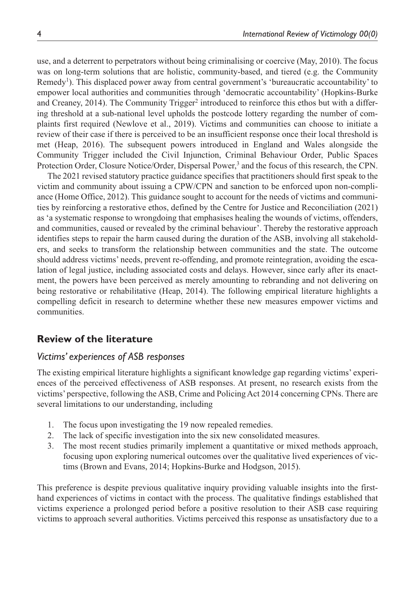use, and a deterrent to perpetrators without being criminalising or coercive (May, 2010). The focus was on long-term solutions that are holistic, community-based, and tiered (e.g. the Community Remedy<sup>1</sup>). This displaced power away from central government's 'bureaucratic accountability' to empower local authorities and communities through 'democratic accountability' (Hopkins-Burke and Creaney, 2014). The Community Trigger<sup>2</sup> introduced to reinforce this ethos but with a differing threshold at a sub-national level upholds the postcode lottery regarding the number of complaints first required (Newlove et al., 2019). Victims and communities can choose to initiate a review of their case if there is perceived to be an insufficient response once their local threshold is met (Heap, 2016). The subsequent powers introduced in England and Wales alongside the Community Trigger included the Civil Injunction, Criminal Behaviour Order, Public Spaces Protection Order, Closure Notice/Order, Dispersal Power,<sup>3</sup> and the focus of this research, the CPN.

The 2021 revised statutory practice guidance specifies that practitioners should first speak to the victim and community about issuing a CPW/CPN and sanction to be enforced upon non-compliance (Home Office, 2012). This guidance sought to account for the needs of victims and communities by reinforcing a restorative ethos, defined by the Centre for Justice and Reconciliation (2021) as 'a systematic response to wrongdoing that emphasises healing the wounds of victims, offenders, and communities, caused or revealed by the criminal behaviour'. Thereby the restorative approach identifies steps to repair the harm caused during the duration of the ASB, involving all stakeholders, and seeks to transform the relationship between communities and the state. The outcome should address victims' needs, prevent re-offending, and promote reintegration, avoiding the escalation of legal justice, including associated costs and delays. However, since early after its enactment, the powers have been perceived as merely amounting to rebranding and not delivering on being restorative or rehabilitative (Heap, 2014). The following empirical literature highlights a compelling deficit in research to determine whether these new measures empower victims and communities.

### **Review of the literature**

### *Victims' experiences of ASB responses*

The existing empirical literature highlights a significant knowledge gap regarding victims' experiences of the perceived effectiveness of ASB responses. At present, no research exists from the victims' perspective, following the ASB, Crime and Policing Act 2014 concerning CPNs. There are several limitations to our understanding, including

- 1. The focus upon investigating the 19 now repealed remedies.
- 2. The lack of specific investigation into the six new consolidated measures.
- 3. The most recent studies primarily implement a quantitative or mixed methods approach, focusing upon exploring numerical outcomes over the qualitative lived experiences of victims (Brown and Evans, 2014; Hopkins-Burke and Hodgson, 2015).

This preference is despite previous qualitative inquiry providing valuable insights into the firsthand experiences of victims in contact with the process. The qualitative findings established that victims experience a prolonged period before a positive resolution to their ASB case requiring victims to approach several authorities. Victims perceived this response as unsatisfactory due to a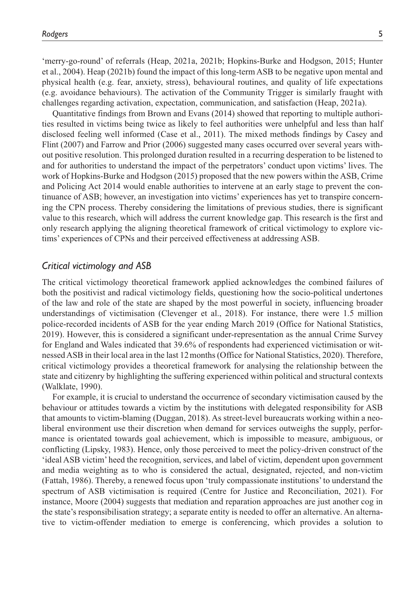'merry-go-round' of referrals (Heap, 2021a, 2021b; Hopkins-Burke and Hodgson, 2015; Hunter et al., 2004). Heap (2021b) found the impact of this long-term ASB to be negative upon mental and physical health (e.g. fear, anxiety, stress), behavioural routines, and quality of life expectations (e.g. avoidance behaviours). The activation of the Community Trigger is similarly fraught with challenges regarding activation, expectation, communication, and satisfaction (Heap, 2021a).

Quantitative findings from Brown and Evans (2014) showed that reporting to multiple authorities resulted in victims being twice as likely to feel authorities were unhelpful and less than half disclosed feeling well informed (Case et al., 2011). The mixed methods findings by Casey and Flint (2007) and Farrow and Prior (2006) suggested many cases occurred over several years without positive resolution. This prolonged duration resulted in a recurring desperation to be listened to and for authorities to understand the impact of the perpetrators' conduct upon victims' lives. The work of Hopkins-Burke and Hodgson (2015) proposed that the new powers within the ASB, Crime and Policing Act 2014 would enable authorities to intervene at an early stage to prevent the continuance of ASB; however, an investigation into victims' experiences has yet to transpire concerning the CPN process. Thereby considering the limitations of previous studies, there is significant value to this research, which will address the current knowledge gap. This research is the first and only research applying the aligning theoretical framework of critical victimology to explore victims' experiences of CPNs and their perceived effectiveness at addressing ASB.

#### *Critical victimology and ASB*

The critical victimology theoretical framework applied acknowledges the combined failures of both the positivist and radical victimology fields, questioning how the socio-political undertones of the law and role of the state are shaped by the most powerful in society, influencing broader understandings of victimisation (Clevenger et al., 2018). For instance, there were 1.5 million police-recorded incidents of ASB for the year ending March 2019 (Office for National Statistics, 2019). However, this is considered a significant under-representation as the annual Crime Survey for England and Wales indicated that 39.6% of respondents had experienced victimisation or witnessed ASB in their local area in the last 12months (Office for National Statistics, 2020). Therefore, critical victimology provides a theoretical framework for analysing the relationship between the state and citizenry by highlighting the suffering experienced within political and structural contexts (Walklate, 1990).

For example, it is crucial to understand the occurrence of secondary victimisation caused by the behaviour or attitudes towards a victim by the institutions with delegated responsibility for ASB that amounts to victim-blaming (Duggan, 2018). As street-level bureaucrats working within a neoliberal environment use their discretion when demand for services outweighs the supply, performance is orientated towards goal achievement, which is impossible to measure, ambiguous, or conflicting (Lipsky, 1983). Hence, only those perceived to meet the policy-driven construct of the 'ideal ASB victim' heed the recognition, services, and label of victim, dependent upon government and media weighting as to who is considered the actual, designated, rejected, and non-victim (Fattah, 1986). Thereby, a renewed focus upon 'truly compassionate institutions' to understand the spectrum of ASB victimisation is required (Centre for Justice and Reconciliation, 2021). For instance, Moore (2004) suggests that mediation and reparation approaches are just another cog in the state's responsibilisation strategy; a separate entity is needed to offer an alternative. An alternative to victim-offender mediation to emerge is conferencing, which provides a solution to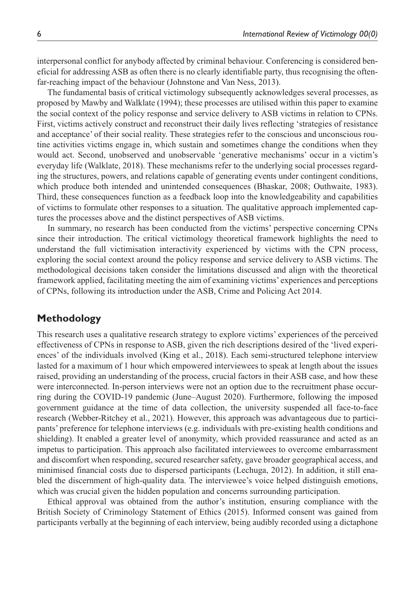interpersonal conflict for anybody affected by criminal behaviour. Conferencing is considered beneficial for addressing ASB as often there is no clearly identifiable party, thus recognising the oftenfar-reaching impact of the behaviour (Johnstone and Van Ness, 2013).

The fundamental basis of critical victimology subsequently acknowledges several processes, as proposed by Mawby and Walklate (1994); these processes are utilised within this paper to examine the social context of the policy response and service delivery to ASB victims in relation to CPNs. First, victims actively construct and reconstruct their daily lives reflecting 'strategies of resistance and acceptance' of their social reality. These strategies refer to the conscious and unconscious routine activities victims engage in, which sustain and sometimes change the conditions when they would act. Second, unobserved and unobservable 'generative mechanisms' occur in a victim's everyday life (Walklate, 2018). These mechanisms refer to the underlying social processes regarding the structures, powers, and relations capable of generating events under contingent conditions, which produce both intended and unintended consequences (Bhaskar, 2008; Outhwaite, 1983). Third, these consequences function as a feedback loop into the knowledgeability and capabilities of victims to formulate other responses to a situation. The qualitative approach implemented captures the processes above and the distinct perspectives of ASB victims.

In summary, no research has been conducted from the victims' perspective concerning CPNs since their introduction. The critical victimology theoretical framework highlights the need to understand the full victimisation interactivity experienced by victims with the CPN process, exploring the social context around the policy response and service delivery to ASB victims. The methodological decisions taken consider the limitations discussed and align with the theoretical framework applied, facilitating meeting the aim of examining victims' experiences and perceptions of CPNs, following its introduction under the ASB, Crime and Policing Act 2014.

### **Methodology**

This research uses a qualitative research strategy to explore victims' experiences of the perceived effectiveness of CPNs in response to ASB, given the rich descriptions desired of the 'lived experiences' of the individuals involved (King et al., 2018). Each semi-structured telephone interview lasted for a maximum of 1 hour which empowered interviewees to speak at length about the issues raised, providing an understanding of the process, crucial factors in their ASB case, and how these were interconnected. In-person interviews were not an option due to the recruitment phase occurring during the COVID-19 pandemic (June–August 2020). Furthermore, following the imposed government guidance at the time of data collection, the university suspended all face-to-face research (Webber-Ritchey et al., 2021). However, this approach was advantageous due to participants' preference for telephone interviews (e.g. individuals with pre-existing health conditions and shielding). It enabled a greater level of anonymity, which provided reassurance and acted as an impetus to participation. This approach also facilitated interviewees to overcome embarrassment and discomfort when responding, secured researcher safety, gave broader geographical access, and minimised financial costs due to dispersed participants (Lechuga, 2012). In addition, it still enabled the discernment of high-quality data. The interviewee's voice helped distinguish emotions, which was crucial given the hidden population and concerns surrounding participation.

Ethical approval was obtained from the author's institution, ensuring compliance with the British Society of Criminology Statement of Ethics (2015). Informed consent was gained from participants verbally at the beginning of each interview, being audibly recorded using a dictaphone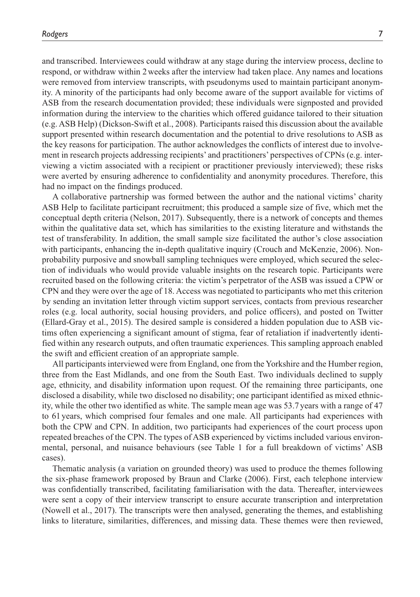and transcribed. Interviewees could withdraw at any stage during the interview process, decline to respond, or withdraw within 2weeks after the interview had taken place. Any names and locations

were removed from interview transcripts, with pseudonyms used to maintain participant anonymity. A minority of the participants had only become aware of the support available for victims of ASB from the research documentation provided; these individuals were signposted and provided information during the interview to the charities which offered guidance tailored to their situation (e.g. ASB Help) (Dickson-Swift et al., 2008). Participants raised this discussion about the available support presented within research documentation and the potential to drive resolutions to ASB as the key reasons for participation. The author acknowledges the conflicts of interest due to involvement in research projects addressing recipients' and practitioners' perspectives of CPNs (e.g. interviewing a victim associated with a recipient or practitioner previously interviewed); these risks were averted by ensuring adherence to confidentiality and anonymity procedures. Therefore, this had no impact on the findings produced.

A collaborative partnership was formed between the author and the national victims' charity ASB Help to facilitate participant recruitment; this produced a sample size of five, which met the conceptual depth criteria (Nelson, 2017). Subsequently, there is a network of concepts and themes within the qualitative data set, which has similarities to the existing literature and withstands the test of transferability. In addition, the small sample size facilitated the author's close association with participants, enhancing the in-depth qualitative inquiry (Crouch and McKenzie, 2006). Nonprobability purposive and snowball sampling techniques were employed, which secured the selection of individuals who would provide valuable insights on the research topic. Participants were recruited based on the following criteria: the victim's perpetrator of the ASB was issued a CPW or CPN and they were over the age of 18. Access was negotiated to participants who met this criterion by sending an invitation letter through victim support services, contacts from previous researcher roles (e.g. local authority, social housing providers, and police officers), and posted on Twitter (Ellard-Gray et al., 2015). The desired sample is considered a hidden population due to ASB victims often experiencing a significant amount of stigma, fear of retaliation if inadvertently identified within any research outputs, and often traumatic experiences. This sampling approach enabled the swift and efficient creation of an appropriate sample.

All participants interviewed were from England, one from the Yorkshire and the Humber region, three from the East Midlands, and one from the South East. Two individuals declined to supply age, ethnicity, and disability information upon request. Of the remaining three participants, one disclosed a disability, while two disclosed no disability; one participant identified as mixed ethnicity, while the other two identified as white. The sample mean age was 53.7 years with a range of 47 to 61 years, which comprised four females and one male. All participants had experiences with both the CPW and CPN. In addition, two participants had experiences of the court process upon repeated breaches of the CPN. The types of ASB experienced by victims included various environmental, personal, and nuisance behaviours (see Table 1 for a full breakdown of victims' ASB cases).

Thematic analysis (a variation on grounded theory) was used to produce the themes following the six-phase framework proposed by Braun and Clarke (2006). First, each telephone interview was confidentially transcribed, facilitating familiarisation with the data. Thereafter, interviewees were sent a copy of their interview transcript to ensure accurate transcription and interpretation (Nowell et al., 2017). The transcripts were then analysed, generating the themes, and establishing links to literature, similarities, differences, and missing data. These themes were then reviewed,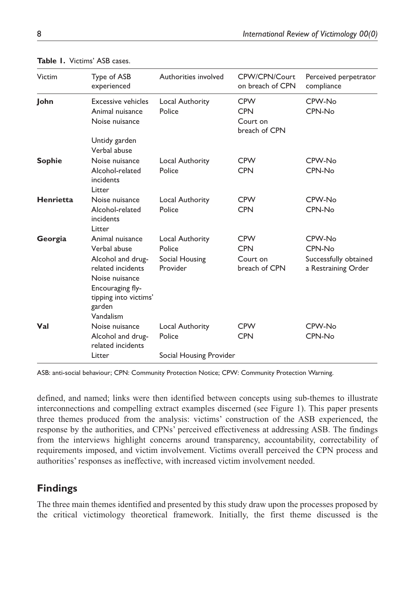| Victim        | Type of ASB<br>experienced                                                                                                                                      | Authorities involved                                    | CPW/CPN/Court<br>on breach of CPN                     | Perceived perpetrator<br>compliance                              |
|---------------|-----------------------------------------------------------------------------------------------------------------------------------------------------------------|---------------------------------------------------------|-------------------------------------------------------|------------------------------------------------------------------|
| John          | <b>Excessive vehicles</b><br>Animal nuisance<br>Noise nuisance                                                                                                  | Local Authority<br>Police                               | <b>CPW</b><br><b>CPN</b><br>Court on<br>breach of CPN | CPW-No<br>CPN-No                                                 |
|               | Untidy garden<br>Verbal abuse                                                                                                                                   |                                                         |                                                       |                                                                  |
| <b>Sophie</b> | Noise nuisance<br>Alcohol-related<br>incidents<br>Litter                                                                                                        | Local Authority<br>Police                               | <b>CPW</b><br><b>CPN</b>                              | CPW-No<br>CPN-No                                                 |
| Henrietta     | Noise nuisance<br>Alcohol-related<br>incidents<br>Litter                                                                                                        | Local Authority<br>Police                               | <b>CPW</b><br><b>CPN</b>                              | CPW-No<br>CPN-No                                                 |
| Georgia       | Animal nuisance<br>Verbal abuse<br>Alcohol and drug-<br>related incidents<br>Noise nuisance<br>Encouraging fly-<br>tipping into victims'<br>garden<br>Vandalism | Local Authority<br>Police<br>Social Housing<br>Provider | <b>CPW</b><br><b>CPN</b><br>Court on<br>breach of CPN | CPW-No<br>CPN-No<br>Successfully obtained<br>a Restraining Order |
| Val           | Noise nuisance<br>Alcohol and drug-<br>related incidents                                                                                                        | Local Authority<br>Police                               | <b>CPW</b><br><b>CPN</b>                              | CPW-No<br>CPN-No                                                 |
|               | Litter                                                                                                                                                          | Social Housing Provider                                 |                                                       |                                                                  |

#### **Table 1.** Victims' ASB cases.

ASB: anti-social behaviour; CPN: Community Protection Notice; CPW: Community Protection Warning.

defined, and named; links were then identified between concepts using sub-themes to illustrate interconnections and compelling extract examples discerned (see Figure 1). This paper presents three themes produced from the analysis: victims' construction of the ASB experienced, the response by the authorities, and CPNs' perceived effectiveness at addressing ASB. The findings from the interviews highlight concerns around transparency, accountability, correctability of requirements imposed, and victim involvement. Victims overall perceived the CPN process and authorities' responses as ineffective, with increased victim involvement needed.

# **Findings**

The three main themes identified and presented by this study draw upon the processes proposed by the critical victimology theoretical framework. Initially, the first theme discussed is the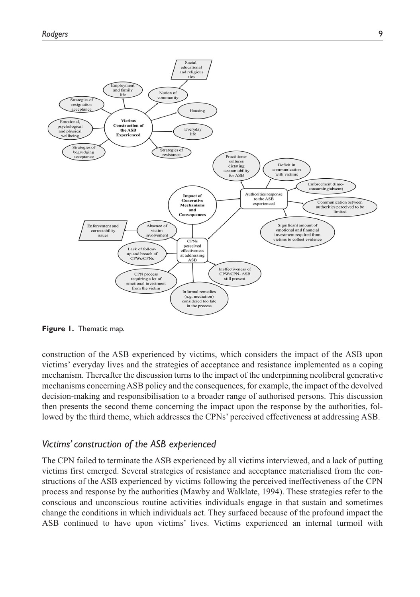

**Figure 1.** Thematic map.

construction of the ASB experienced by victims, which considers the impact of the ASB upon victims' everyday lives and the strategies of acceptance and resistance implemented as a coping mechanism. Thereafter the discussion turns to the impact of the underpinning neoliberal generative mechanisms concerning ASB policy and the consequences, for example, the impact of the devolved decision-making and responsibilisation to a broader range of authorised persons. This discussion then presents the second theme concerning the impact upon the response by the authorities, followed by the third theme, which addresses the CPNs' perceived effectiveness at addressing ASB.

### *Victims' construction of the ASB experienced*

The CPN failed to terminate the ASB experienced by all victims interviewed, and a lack of putting victims first emerged. Several strategies of resistance and acceptance materialised from the constructions of the ASB experienced by victims following the perceived ineffectiveness of the CPN process and response by the authorities (Mawby and Walklate, 1994). These strategies refer to the conscious and unconscious routine activities individuals engage in that sustain and sometimes change the conditions in which individuals act. They surfaced because of the profound impact the ASB continued to have upon victims' lives. Victims experienced an internal turmoil with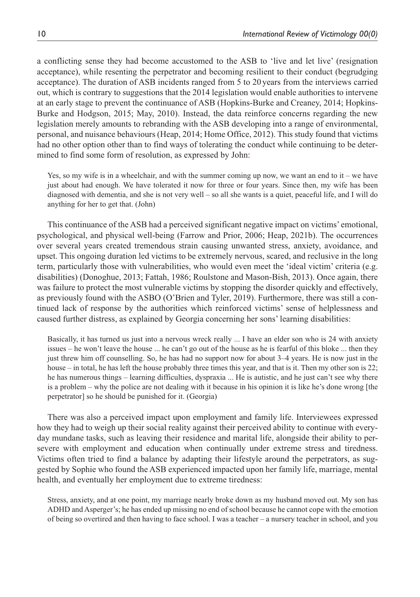a conflicting sense they had become accustomed to the ASB to 'live and let live' (resignation acceptance), while resenting the perpetrator and becoming resilient to their conduct (begrudging acceptance). The duration of ASB incidents ranged from 5 to 20 years from the interviews carried out, which is contrary to suggestions that the 2014 legislation would enable authorities to intervene at an early stage to prevent the continuance of ASB (Hopkins-Burke and Creaney, 2014; Hopkins-Burke and Hodgson, 2015; May, 2010). Instead, the data reinforce concerns regarding the new legislation merely amounts to rebranding with the ASB developing into a range of environmental, personal, and nuisance behaviours (Heap, 2014; Home Office, 2012). This study found that victims had no other option other than to find ways of tolerating the conduct while continuing to be determined to find some form of resolution, as expressed by John:

Yes, so my wife is in a wheelchair, and with the summer coming up now, we want an end to it – we have just about had enough. We have tolerated it now for three or four years. Since then, my wife has been diagnosed with dementia, and she is not very well – so all she wants is a quiet, peaceful life, and I will do anything for her to get that. (John)

This continuance of the ASB had a perceived significant negative impact on victims' emotional, psychological, and physical well-being (Farrow and Prior, 2006; Heap, 2021b). The occurrences over several years created tremendous strain causing unwanted stress, anxiety, avoidance, and upset. This ongoing duration led victims to be extremely nervous, scared, and reclusive in the long term, particularly those with vulnerabilities, who would even meet the 'ideal victim' criteria (e.g. disabilities) (Donoghue, 2013; Fattah, 1986; Roulstone and Mason-Bish, 2013). Once again, there was failure to protect the most vulnerable victims by stopping the disorder quickly and effectively, as previously found with the ASBO (O'Brien and Tyler, 2019). Furthermore, there was still a continued lack of response by the authorities which reinforced victims' sense of helplessness and caused further distress, as explained by Georgia concerning her sons' learning disabilities:

Basically, it has turned us just into a nervous wreck really ... I have an elder son who is 24 with anxiety issues – he won't leave the house ... he can't go out of the house as he is fearful of this bloke ... then they just threw him off counselling. So, he has had no support now for about 3–4 years. He is now just in the house – in total, he has left the house probably three times this year, and that is it. Then my other son is 22; he has numerous things – learning difficulties, dyspraxia ... He is autistic, and he just can't see why there is a problem – why the police are not dealing with it because in his opinion it is like he's done wrong [the perpetrator] so he should be punished for it. (Georgia)

There was also a perceived impact upon employment and family life. Interviewees expressed how they had to weigh up their social reality against their perceived ability to continue with everyday mundane tasks, such as leaving their residence and marital life, alongside their ability to persevere with employment and education when continually under extreme stress and tiredness. Victims often tried to find a balance by adapting their lifestyle around the perpetrators, as suggested by Sophie who found the ASB experienced impacted upon her family life, marriage, mental health, and eventually her employment due to extreme tiredness:

Stress, anxiety, and at one point, my marriage nearly broke down as my husband moved out. My son has ADHD and Asperger's; he has ended up missing no end of school because he cannot cope with the emotion of being so overtired and then having to face school. I was a teacher – a nursery teacher in school, and you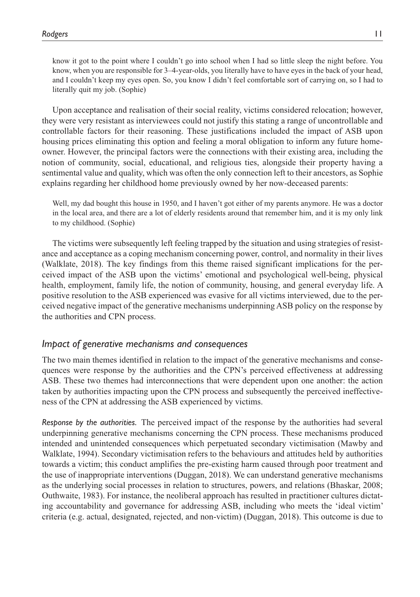know it got to the point where I couldn't go into school when I had so little sleep the night before. You know, when you are responsible for 3–4-year-olds, you literally have to have eyes in the back of your head, and I couldn't keep my eyes open. So, you know I didn't feel comfortable sort of carrying on, so I had to literally quit my job. (Sophie)

Upon acceptance and realisation of their social reality, victims considered relocation; however, they were very resistant as interviewees could not justify this stating a range of uncontrollable and controllable factors for their reasoning. These justifications included the impact of ASB upon housing prices eliminating this option and feeling a moral obligation to inform any future homeowner. However, the principal factors were the connections with their existing area, including the notion of community, social, educational, and religious ties, alongside their property having a sentimental value and quality, which was often the only connection left to their ancestors, as Sophie explains regarding her childhood home previously owned by her now-deceased parents:

Well, my dad bought this house in 1950, and I haven't got either of my parents anymore. He was a doctor in the local area, and there are a lot of elderly residents around that remember him, and it is my only link to my childhood. (Sophie)

The victims were subsequently left feeling trapped by the situation and using strategies of resistance and acceptance as a coping mechanism concerning power, control, and normality in their lives (Walklate, 2018). The key findings from this theme raised significant implications for the perceived impact of the ASB upon the victims' emotional and psychological well-being, physical health, employment, family life, the notion of community, housing, and general everyday life. A positive resolution to the ASB experienced was evasive for all victims interviewed, due to the perceived negative impact of the generative mechanisms underpinning ASB policy on the response by the authorities and CPN process.

### *Impact of generative mechanisms and consequences*

The two main themes identified in relation to the impact of the generative mechanisms and consequences were response by the authorities and the CPN's perceived effectiveness at addressing ASB. These two themes had interconnections that were dependent upon one another: the action taken by authorities impacting upon the CPN process and subsequently the perceived ineffectiveness of the CPN at addressing the ASB experienced by victims.

*Response by the authorities.* The perceived impact of the response by the authorities had several underpinning generative mechanisms concerning the CPN process. These mechanisms produced intended and unintended consequences which perpetuated secondary victimisation (Mawby and Walklate, 1994). Secondary victimisation refers to the behaviours and attitudes held by authorities towards a victim; this conduct amplifies the pre-existing harm caused through poor treatment and the use of inappropriate interventions (Duggan, 2018). We can understand generative mechanisms as the underlying social processes in relation to structures, powers, and relations (Bhaskar, 2008; Outhwaite, 1983). For instance, the neoliberal approach has resulted in practitioner cultures dictating accountability and governance for addressing ASB, including who meets the 'ideal victim' criteria (e.g. actual, designated, rejected, and non-victim) (Duggan, 2018). This outcome is due to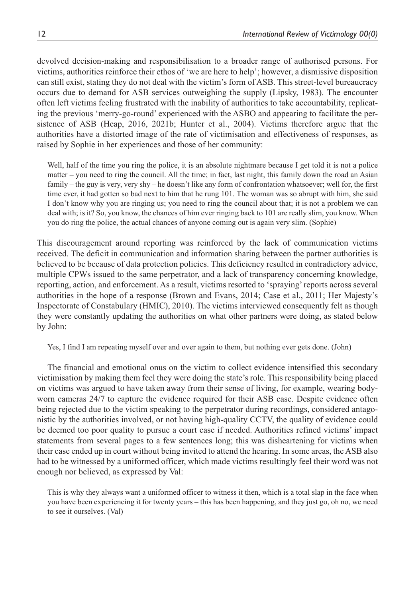devolved decision-making and responsibilisation to a broader range of authorised persons. For victims, authorities reinforce their ethos of 'we are here to help'; however, a dismissive disposition can still exist, stating they do not deal with the victim's form of ASB. This street-level bureaucracy occurs due to demand for ASB services outweighing the supply (Lipsky, 1983). The encounter often left victims feeling frustrated with the inability of authorities to take accountability, replicating the previous 'merry-go-round' experienced with the ASBO and appearing to facilitate the persistence of ASB (Heap, 2016, 2021b; Hunter et al., 2004). Victims therefore argue that the authorities have a distorted image of the rate of victimisation and effectiveness of responses, as raised by Sophie in her experiences and those of her community:

Well, half of the time you ring the police, it is an absolute nightmare because I get told it is not a police matter – you need to ring the council. All the time; in fact, last night, this family down the road an Asian family – the guy is very, very shy – he doesn't like any form of confrontation whatsoever; well for, the first time ever, it had gotten so bad next to him that he rung 101. The woman was so abrupt with him, she said I don't know why you are ringing us; you need to ring the council about that; it is not a problem we can deal with; is it? So, you know, the chances of him ever ringing back to 101 are really slim, you know. When you do ring the police, the actual chances of anyone coming out is again very slim. (Sophie)

This discouragement around reporting was reinforced by the lack of communication victims received. The deficit in communication and information sharing between the partner authorities is believed to be because of data protection policies. This deficiency resulted in contradictory advice, multiple CPWs issued to the same perpetrator, and a lack of transparency concerning knowledge, reporting, action, and enforcement. As a result, victims resorted to 'spraying' reports across several authorities in the hope of a response (Brown and Evans, 2014; Case et al., 2011; Her Majesty's Inspectorate of Constabulary (HMIC), 2010). The victims interviewed consequently felt as though they were constantly updating the authorities on what other partners were doing, as stated below by John:

Yes, I find I am repeating myself over and over again to them, but nothing ever gets done. (John)

The financial and emotional onus on the victim to collect evidence intensified this secondary victimisation by making them feel they were doing the state's role. This responsibility being placed on victims was argued to have taken away from their sense of living, for example, wearing bodyworn cameras 24/7 to capture the evidence required for their ASB case. Despite evidence often being rejected due to the victim speaking to the perpetrator during recordings, considered antagonistic by the authorities involved, or not having high-quality CCTV, the quality of evidence could be deemed too poor quality to pursue a court case if needed. Authorities refined victims' impact statements from several pages to a few sentences long; this was disheartening for victims when their case ended up in court without being invited to attend the hearing. In some areas, the ASB also had to be witnessed by a uniformed officer, which made victims resultingly feel their word was not enough nor believed, as expressed by Val:

This is why they always want a uniformed officer to witness it then, which is a total slap in the face when you have been experiencing it for twenty years – this has been happening, and they just go, oh no, we need to see it ourselves. (Val)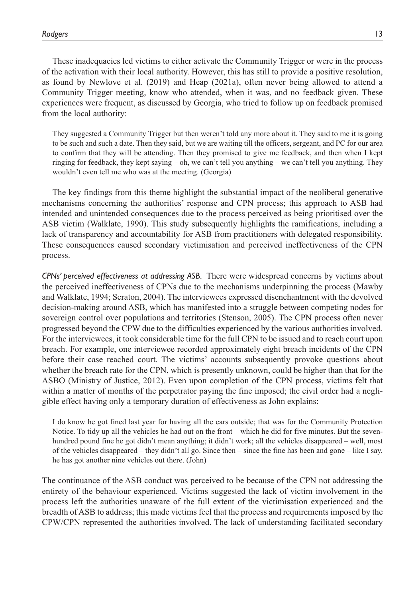These inadequacies led victims to either activate the Community Trigger or were in the process of the activation with their local authority. However, this has still to provide a positive resolution, as found by Newlove et al. (2019) and Heap (2021a), often never being allowed to attend a Community Trigger meeting, know who attended, when it was, and no feedback given. These experiences were frequent, as discussed by Georgia, who tried to follow up on feedback promised from the local authority:

They suggested a Community Trigger but then weren't told any more about it. They said to me it is going to be such and such a date. Then they said, but we are waiting till the officers, sergeant, and PC for our area to confirm that they will be attending. Then they promised to give me feedback, and then when I kept ringing for feedback, they kept saying – oh, we can't tell you anything – we can't tell you anything. They wouldn't even tell me who was at the meeting. (Georgia)

The key findings from this theme highlight the substantial impact of the neoliberal generative mechanisms concerning the authorities' response and CPN process; this approach to ASB had intended and unintended consequences due to the process perceived as being prioritised over the ASB victim (Walklate, 1990). This study subsequently highlights the ramifications, including a lack of transparency and accountability for ASB from practitioners with delegated responsibility. These consequences caused secondary victimisation and perceived ineffectiveness of the CPN process.

*CPNs' perceived effectiveness at addressing ASB.* There were widespread concerns by victims about the perceived ineffectiveness of CPNs due to the mechanisms underpinning the process (Mawby and Walklate, 1994; Scraton, 2004). The interviewees expressed disenchantment with the devolved decision-making around ASB, which has manifested into a struggle between competing nodes for sovereign control over populations and territories (Stenson, 2005). The CPN process often never progressed beyond the CPW due to the difficulties experienced by the various authorities involved. For the interviewees, it took considerable time for the full CPN to be issued and to reach court upon breach. For example, one interviewee recorded approximately eight breach incidents of the CPN before their case reached court. The victims' accounts subsequently provoke questions about whether the breach rate for the CPN, which is presently unknown, could be higher than that for the ASBO (Ministry of Justice, 2012). Even upon completion of the CPN process, victims felt that within a matter of months of the perpetrator paying the fine imposed; the civil order had a negligible effect having only a temporary duration of effectiveness as John explains:

I do know he got fined last year for having all the cars outside; that was for the Community Protection Notice. To tidy up all the vehicles he had out on the front – which he did for five minutes. But the sevenhundred pound fine he got didn't mean anything; it didn't work; all the vehicles disappeared – well, most of the vehicles disappeared – they didn't all go. Since then – since the fine has been and gone – like I say, he has got another nine vehicles out there. (John)

The continuance of the ASB conduct was perceived to be because of the CPN not addressing the entirety of the behaviour experienced. Victims suggested the lack of victim involvement in the process left the authorities unaware of the full extent of the victimisation experienced and the breadth of ASB to address; this made victims feel that the process and requirements imposed by the CPW/CPN represented the authorities involved. The lack of understanding facilitated secondary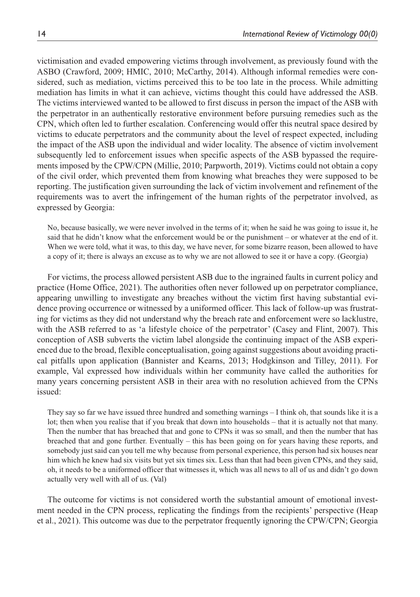victimisation and evaded empowering victims through involvement, as previously found with the ASBO (Crawford, 2009; HMIC, 2010; McCarthy, 2014). Although informal remedies were considered, such as mediation, victims perceived this to be too late in the process. While admitting mediation has limits in what it can achieve, victims thought this could have addressed the ASB. The victims interviewed wanted to be allowed to first discuss in person the impact of the ASB with the perpetrator in an authentically restorative environment before pursuing remedies such as the CPN, which often led to further escalation. Conferencing would offer this neutral space desired by victims to educate perpetrators and the community about the level of respect expected, including the impact of the ASB upon the individual and wider locality. The absence of victim involvement subsequently led to enforcement issues when specific aspects of the ASB bypassed the requirements imposed by the CPW/CPN (Millie, 2010; Parpworth, 2019). Victims could not obtain a copy of the civil order, which prevented them from knowing what breaches they were supposed to be reporting. The justification given surrounding the lack of victim involvement and refinement of the requirements was to avert the infringement of the human rights of the perpetrator involved, as expressed by Georgia:

No, because basically, we were never involved in the terms of it; when he said he was going to issue it, he said that he didn't know what the enforcement would be or the punishment – or whatever at the end of it. When we were told, what it was, to this day, we have never, for some bizarre reason, been allowed to have a copy of it; there is always an excuse as to why we are not allowed to see it or have a copy. (Georgia)

For victims, the process allowed persistent ASB due to the ingrained faults in current policy and practice (Home Office, 2021). The authorities often never followed up on perpetrator compliance, appearing unwilling to investigate any breaches without the victim first having substantial evidence proving occurrence or witnessed by a uniformed officer. This lack of follow-up was frustrating for victims as they did not understand why the breach rate and enforcement were so lacklustre, with the ASB referred to as 'a lifestyle choice of the perpetrator' (Casey and Flint, 2007). This conception of ASB subverts the victim label alongside the continuing impact of the ASB experienced due to the broad, flexible conceptualisation, going against suggestions about avoiding practical pitfalls upon application (Bannister and Kearns, 2013; Hodgkinson and Tilley, 2011). For example, Val expressed how individuals within her community have called the authorities for many years concerning persistent ASB in their area with no resolution achieved from the CPNs issued:

They say so far we have issued three hundred and something warnings – I think oh, that sounds like it is a lot; then when you realise that if you break that down into households – that it is actually not that many. Then the number that has breached that and gone to CPNs it was so small, and then the number that has breached that and gone further. Eventually – this has been going on for years having these reports, and somebody just said can you tell me why because from personal experience, this person had six houses near him which he knew had six visits but yet six times six. Less than that had been given CPNs, and they said, oh, it needs to be a uniformed officer that witnesses it, which was all news to all of us and didn't go down actually very well with all of us. (Val)

The outcome for victims is not considered worth the substantial amount of emotional investment needed in the CPN process, replicating the findings from the recipients' perspective (Heap et al., 2021). This outcome was due to the perpetrator frequently ignoring the CPW/CPN; Georgia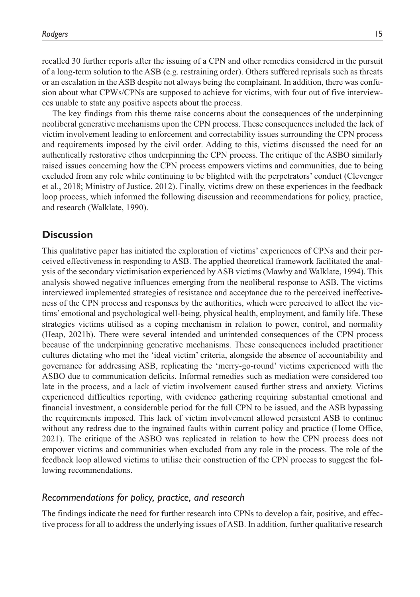recalled 30 further reports after the issuing of a CPN and other remedies considered in the pursuit of a long-term solution to the ASB (e.g. restraining order). Others suffered reprisals such as threats or an escalation in the ASB despite not always being the complainant. In addition, there was confusion about what CPWs/CPNs are supposed to achieve for victims, with four out of five interviewees unable to state any positive aspects about the process.

The key findings from this theme raise concerns about the consequences of the underpinning neoliberal generative mechanisms upon the CPN process. These consequences included the lack of victim involvement leading to enforcement and correctability issues surrounding the CPN process and requirements imposed by the civil order. Adding to this, victims discussed the need for an authentically restorative ethos underpinning the CPN process. The critique of the ASBO similarly raised issues concerning how the CPN process empowers victims and communities, due to being excluded from any role while continuing to be blighted with the perpetrators' conduct (Clevenger et al., 2018; Ministry of Justice, 2012). Finally, victims drew on these experiences in the feedback loop process, which informed the following discussion and recommendations for policy, practice, and research (Walklate, 1990).

### **Discussion**

This qualitative paper has initiated the exploration of victims' experiences of CPNs and their perceived effectiveness in responding to ASB. The applied theoretical framework facilitated the analysis of the secondary victimisation experienced by ASB victims (Mawby and Walklate, 1994). This analysis showed negative influences emerging from the neoliberal response to ASB. The victims interviewed implemented strategies of resistance and acceptance due to the perceived ineffectiveness of the CPN process and responses by the authorities, which were perceived to affect the victims' emotional and psychological well-being, physical health, employment, and family life. These strategies victims utilised as a coping mechanism in relation to power, control, and normality (Heap, 2021b). There were several intended and unintended consequences of the CPN process because of the underpinning generative mechanisms. These consequences included practitioner cultures dictating who met the 'ideal victim' criteria, alongside the absence of accountability and governance for addressing ASB, replicating the 'merry-go-round' victims experienced with the ASBO due to communication deficits. Informal remedies such as mediation were considered too late in the process, and a lack of victim involvement caused further stress and anxiety. Victims experienced difficulties reporting, with evidence gathering requiring substantial emotional and financial investment, a considerable period for the full CPN to be issued, and the ASB bypassing the requirements imposed. This lack of victim involvement allowed persistent ASB to continue without any redress due to the ingrained faults within current policy and practice (Home Office, 2021). The critique of the ASBO was replicated in relation to how the CPN process does not empower victims and communities when excluded from any role in the process. The role of the feedback loop allowed victims to utilise their construction of the CPN process to suggest the following recommendations.

### *Recommendations for policy, practice, and research*

The findings indicate the need for further research into CPNs to develop a fair, positive, and effective process for all to address the underlying issues of ASB. In addition, further qualitative research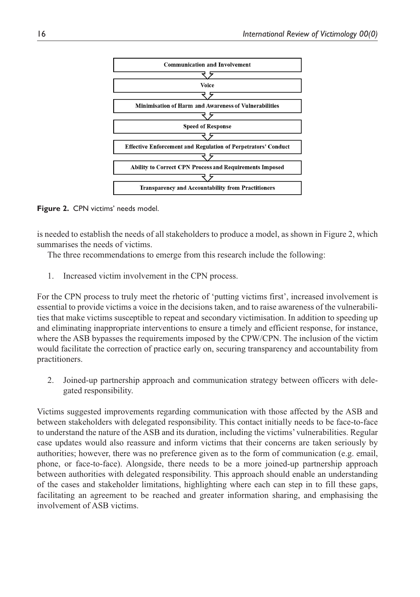

**Figure 2.** CPN victims' needs model.

is needed to establish the needs of all stakeholders to produce a model, as shown in Figure 2, which summarises the needs of victims.

The three recommendations to emerge from this research include the following:

1. Increased victim involvement in the CPN process.

For the CPN process to truly meet the rhetoric of 'putting victims first', increased involvement is essential to provide victims a voice in the decisions taken, and to raise awareness of the vulnerabilities that make victims susceptible to repeat and secondary victimisation. In addition to speeding up and eliminating inappropriate interventions to ensure a timely and efficient response, for instance, where the ASB bypasses the requirements imposed by the CPW/CPN. The inclusion of the victim would facilitate the correction of practice early on, securing transparency and accountability from practitioners.

2. Joined-up partnership approach and communication strategy between officers with delegated responsibility.

Victims suggested improvements regarding communication with those affected by the ASB and between stakeholders with delegated responsibility. This contact initially needs to be face-to-face to understand the nature of the ASB and its duration, including the victims' vulnerabilities. Regular case updates would also reassure and inform victims that their concerns are taken seriously by authorities; however, there was no preference given as to the form of communication (e.g. email, phone, or face-to-face). Alongside, there needs to be a more joined-up partnership approach between authorities with delegated responsibility. This approach should enable an understanding of the cases and stakeholder limitations, highlighting where each can step in to fill these gaps, facilitating an agreement to be reached and greater information sharing, and emphasising the involvement of ASB victims.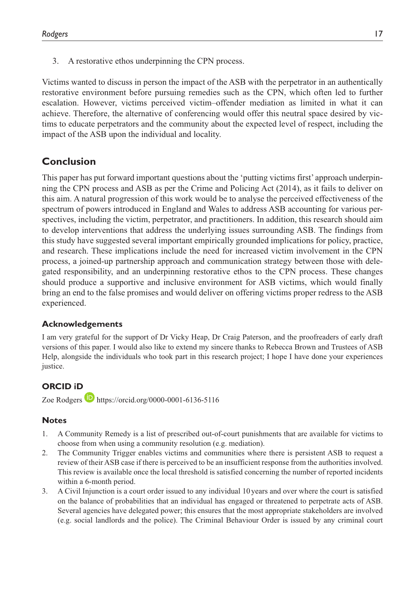3. A restorative ethos underpinning the CPN process.

Victims wanted to discuss in person the impact of the ASB with the perpetrator in an authentically restorative environment before pursuing remedies such as the CPN, which often led to further escalation. However, victims perceived victim–offender mediation as limited in what it can achieve. Therefore, the alternative of conferencing would offer this neutral space desired by victims to educate perpetrators and the community about the expected level of respect, including the impact of the ASB upon the individual and locality.

# **Conclusion**

This paper has put forward important questions about the 'putting victims first' approach underpinning the CPN process and ASB as per the Crime and Policing Act (2014), as it fails to deliver on this aim. A natural progression of this work would be to analyse the perceived effectiveness of the spectrum of powers introduced in England and Wales to address ASB accounting for various perspectives, including the victim, perpetrator, and practitioners. In addition, this research should aim to develop interventions that address the underlying issues surrounding ASB. The findings from this study have suggested several important empirically grounded implications for policy, practice, and research. These implications include the need for increased victim involvement in the CPN process, a joined-up partnership approach and communication strategy between those with delegated responsibility, and an underpinning restorative ethos to the CPN process. These changes should produce a supportive and inclusive environment for ASB victims, which would finally bring an end to the false promises and would deliver on offering victims proper redress to the ASB experienced.

### **Acknowledgements**

I am very grateful for the support of Dr Vicky Heap, Dr Craig Paterson, and the proofreaders of early draft versions of this paper. I would also like to extend my sincere thanks to Rebecca Brown and Trustees of ASB Help, alongside the individuals who took part in this research project; I hope I have done your experiences justice.

### **ORCID iD**

Zoe Rodgers  $\bullet$  <https://orcid.org/0000-0001-6136-5116>

### **Notes**

- 1. A Community Remedy is a list of prescribed out-of-court punishments that are available for victims to choose from when using a community resolution (e.g. mediation).
- 2. The Community Trigger enables victims and communities where there is persistent ASB to request a review of their ASB case if there is perceived to be an insufficient response from the authorities involved. This review is available once the local threshold is satisfied concerning the number of reported incidents within a 6-month period.
- 3. A Civil Injunction is a court order issued to any individual 10 years and over where the court is satisfied on the balance of probabilities that an individual has engaged or threatened to perpetrate acts of ASB. Several agencies have delegated power; this ensures that the most appropriate stakeholders are involved (e.g. social landlords and the police). The Criminal Behaviour Order is issued by any criminal court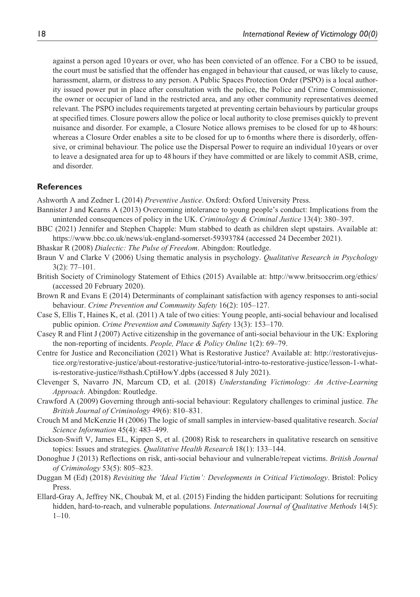against a person aged 10 years or over, who has been convicted of an offence. For a CBO to be issued, the court must be satisfied that the offender has engaged in behaviour that caused, or was likely to cause, harassment, alarm, or distress to any person. A Public Spaces Protection Order (PSPO) is a local authority issued power put in place after consultation with the police, the Police and Crime Commissioner, the owner or occupier of land in the restricted area, and any other community representatives deemed relevant. The PSPO includes requirements targeted at preventing certain behaviours by particular groups at specified times. Closure powers allow the police or local authority to close premises quickly to prevent nuisance and disorder. For example, a Closure Notice allows premises to be closed for up to 48 hours: whereas a Closure Order enables a site to be closed for up to 6months where there is disorderly, offensive, or criminal behaviour. The police use the Dispersal Power to require an individual 10 years or over to leave a designated area for up to 48 hours if they have committed or are likely to commit ASB, crime, and disorder.

#### **References**

Ashworth A and Zedner L (2014) *Preventive Justice*. Oxford: Oxford University Press.

- Bannister J and Kearns A (2013) Overcoming intolerance to young people's conduct: Implications from the unintended consequences of policy in the UK. *Criminology & Criminal Justice* 13(4): 380–397.
- BBC (2021) Jennifer and Stephen Chapple: Mum stabbed to death as children slept upstairs. Available at: <https://www.bbc.co.uk/news/uk-england-somerset-59393784> (accessed 24 December 2021).
- Bhaskar R (2008) *Dialectic: The Pulse of Freedom*. Abingdon: Routledge.
- Braun V and Clarke V (2006) Using thematic analysis in psychology. *Qualitative Research in Psychology* 3(2): 77–101.
- British Society of Criminology Statement of Ethics (2015) Available at: <http://www.britsoccrim.org/ethics/> (accessed 20 February 2020).
- Brown R and Evans E (2014) Determinants of complainant satisfaction with agency responses to anti-social behaviour. *Crime Prevention and Community Safety* 16(2): 105–127.
- Case S, Ellis T, Haines K, et al. (2011) A tale of two cities: Young people, anti-social behaviour and localised public opinion. *Crime Prevention and Community Safety* 13(3): 153–170.
- Casey R and Flint J (2007) Active citizenship in the governance of anti-social behaviour in the UK: Exploring the non-reporting of incidents. *People, Place & Policy Online* 1(2): 69–79.
- Centre for Justice and Reconciliation (2021) What is Restorative Justice? Available at: [http://restorativejus](http://restorativejustice.org/restorative-justice/about-restorative-justice/tutorial-intro-to-restorative-justice/lesson-1-what-is-restorative-justice/#sthash.CptiHowY.dpbs)[tice.org/restorative-justice/about-restorative-justice/tutorial-intro-to-restorative-justice/lesson-1-what](http://restorativejustice.org/restorative-justice/about-restorative-justice/tutorial-intro-to-restorative-justice/lesson-1-what-is-restorative-justice/#sthash.CptiHowY.dpbs)[is-restorative-justice/#sthash.CptiHowY.dpbs](http://restorativejustice.org/restorative-justice/about-restorative-justice/tutorial-intro-to-restorative-justice/lesson-1-what-is-restorative-justice/#sthash.CptiHowY.dpbs) (accessed 8 July 2021).
- Clevenger S, Navarro JN, Marcum CD, et al. (2018) *Understanding Victimology: An Active-Learning Approach*. Abingdon: Routledge.
- Crawford A (2009) Governing through anti-social behaviour: Regulatory challenges to criminal justice. *The British Journal of Criminology* 49(6): 810–831.
- Crouch M and McKenzie H (2006) The logic of small samples in interview-based qualitative research. *Social Science Information* 45(4): 483–499.
- Dickson-Swift V, James EL, Kippen S, et al. (2008) Risk to researchers in qualitative research on sensitive topics: Issues and strategies. *Qualitative Health Research* 18(1): 133–144.
- Donoghue J (2013) Reflections on risk, anti-social behaviour and vulnerable/repeat victims. *British Journal of Criminology* 53(5): 805–823.
- Duggan M (Ed) (2018) *Revisiting the 'Ideal Victim': Developments in Critical Victimology*. Bristol: Policy Press.
- Ellard-Gray A, Jeffrey NK, Choubak M, et al. (2015) Finding the hidden participant: Solutions for recruiting hidden, hard-to-reach, and vulnerable populations. *International Journal of Qualitative Methods* 14(5): 1–10.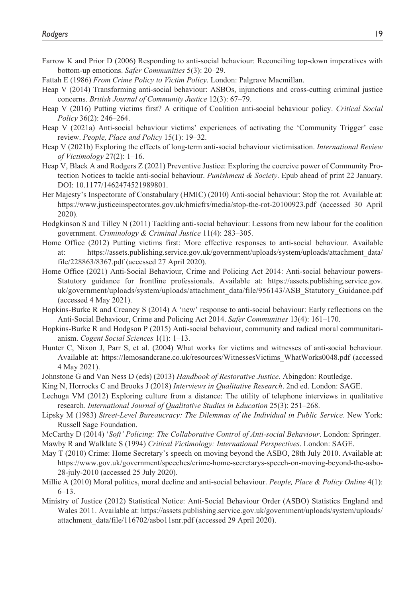- Farrow K and Prior D (2006) Responding to anti-social behaviour: Reconciling top-down imperatives with bottom-up emotions. *Safer Communities* 5(3): 20–29.
- Fattah E (1986) *From Crime Policy to Victim Policy*. London: Palgrave Macmillan.
- Heap V (2014) Transforming anti-social behaviour: ASBOs, injunctions and cross-cutting criminal justice concerns. *British Journal of Community Justice* 12(3): 67–79.
- Heap V (2016) Putting victims first? A critique of Coalition anti-social behaviour policy. *Critical Social Policy* 36(2): 246–264.
- Heap V (2021a) Anti-social behaviour victims' experiences of activating the 'Community Trigger' case review. *People, Place and Policy* 15(1): 19–32.
- Heap V (2021b) Exploring the effects of long-term anti-social behaviour victimisation. *International Review of Victimology* 27(2): 1–16.
- Heap V, Black A and Rodgers Z (2021) Preventive Justice: Exploring the coercive power of Community Protection Notices to tackle anti-social behaviour. *Punishment & Society*. Epub ahead of print 22 January. DOI: 10.1177/1462474521989801.
- Her Majesty's Inspectorate of Constabulary (HMIC) (2010) Anti-social behaviour: Stop the rot. Available at: <https://www.justiceinspectorates.gov.uk/hmicfrs/media/stop-the-rot-20100923.pdf>(accessed 30 April 2020).
- Hodgkinson S and Tilley N (2011) Tackling anti-social behaviour: Lessons from new labour for the coalition government. *Criminology & Criminal Justice* 11(4): 283–305.
- Home Office (2012) Putting victims first: More effective responses to anti-social behaviour. Available at: [https://assets.publishing.service.gov.uk/government/uploads/system/uploads/attachment\\_data/](https://assets.publishing.service.gov.uk/government/uploads/system/uploads/attachment_data/file/228863/8367.pdf) [file/228863/8367.pdf](https://assets.publishing.service.gov.uk/government/uploads/system/uploads/attachment_data/file/228863/8367.pdf) (accessed 27 April 2020).
- Home Office (2021) Anti-Social Behaviour, Crime and Policing Act 2014: Anti-social behaviour powers-Statutory guidance for frontline professionals. Available at: [https://assets.publishing.service.gov.](https://assets.publishing.service.gov.uk/government/uploads/system/uploads/attachment_data/file/956143/ASB_Statutory_Guidance.pdf) [uk/government/uploads/system/uploads/attachment\\_data/file/956143/ASB\\_Statutory\\_Guidance.pdf](https://assets.publishing.service.gov.uk/government/uploads/system/uploads/attachment_data/file/956143/ASB_Statutory_Guidance.pdf) (accessed 4 May 2021).
- Hopkins-Burke R and Creaney S (2014) A 'new' response to anti-social behaviour: Early reflections on the Anti-Social Behaviour, Crime and Policing Act 2014. *Safer Communities* 13(4): 161–170.
- Hopkins-Burke R and Hodgson P (2015) Anti-social behaviour, community and radical moral communitarianism. *Cogent Social Sciences* 1(1): 1–13.
- Hunter C, Nixon J, Parr S, et al. (2004) What works for victims and witnesses of anti-social behaviour. Available at: [https://lemosandcrane.co.uk/resources/WitnessesVictims\\_WhatWorks0048.pdf](https://lemosandcrane.co.uk/resources/WitnessesVictims_WhatWorks0048.pdf) (accessed 4 May 2021).
- Johnstone G and Van Ness D (eds) (2013) *Handbook of Restorative Justice*. Abingdon: Routledge.
- King N, Horrocks C and Brooks J (2018) *Interviews in Qualitative Research*. 2nd ed. London: SAGE.
- Lechuga VM (2012) Exploring culture from a distance: The utility of telephone interviews in qualitative research. *International Journal of Qualitative Studies in Education* 25(3): 251–268.
- Lipsky M (1983) *Street-Level Bureaucracy: The Dilemmas of the Individual in Public Service*. New York: Russell Sage Foundation.
- McCarthy D (2014) '*Soft' Policing: The Collaborative Control of Anti-social Behaviour*. London: Springer.

Mawby R and Walklate S (1994) *Critical Victimology: International Perspectives*. London: SAGE.

- May T (2010) Crime: Home Secretary's speech on moving beyond the ASBO, 28th July 2010. Available at: [https://www.gov.uk/government/speeches/crime-home-secretarys-speech-on-moving-beyond-the-asbo-](https://www.gov.uk/government/speeches/crime-home-secretarys-speech-on-moving-beyond-the-asbo-28-july-2010)[28-july-2010](https://www.gov.uk/government/speeches/crime-home-secretarys-speech-on-moving-beyond-the-asbo-28-july-2010) (accessed 25 July 2020).
- Millie A (2010) Moral politics, moral decline and anti-social behaviour. *People, Place & Policy Online* 4(1): 6–13.
- Ministry of Justice (2012) Statistical Notice: Anti-Social Behaviour Order (ASBO) Statistics England and Wales 2011. Available at: [https://assets.publishing.service.gov.uk/government/uploads/system/uploads/](https://assets.publishing.service.gov.uk/government/uploads/system/uploads/attachment_data/file/116702/asbo11snr.pdf) [attachment\\_data/file/116702/asbo11snr.pdf](https://assets.publishing.service.gov.uk/government/uploads/system/uploads/attachment_data/file/116702/asbo11snr.pdf) (accessed 29 April 2020).